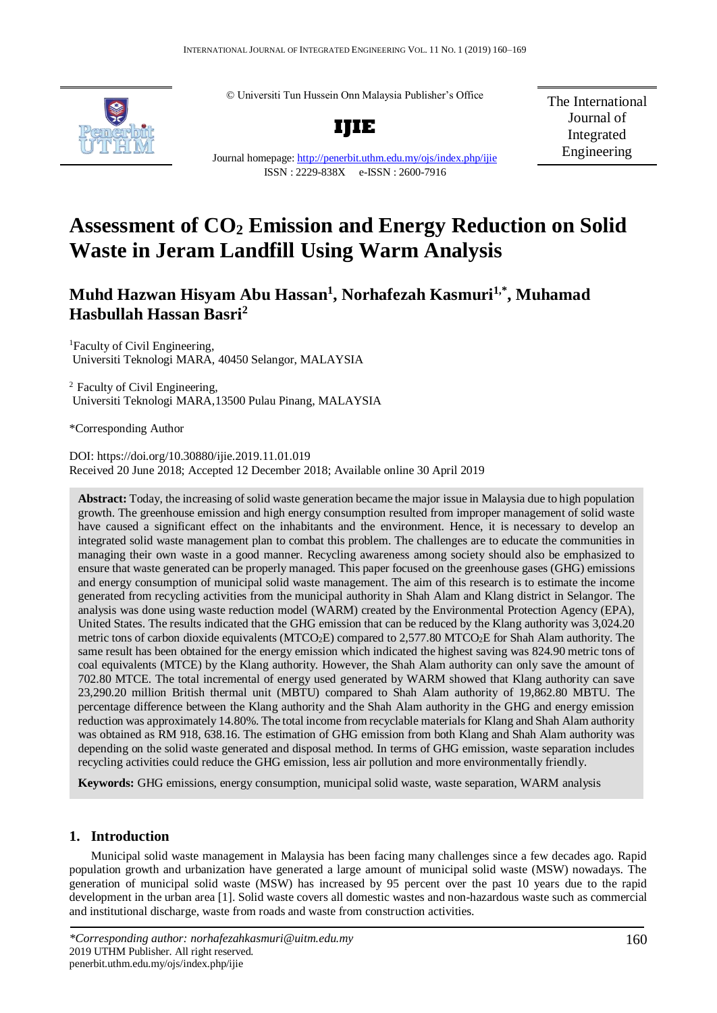© Universiti Tun Hussein Onn Malaysia Publisher's Office



**IJIE**

Journal homepage:<http://penerbit.uthm.edu.my/ojs/index.php/ijie> ISSN : 2229-838X e-ISSN : 2600-7916

The International Journal of Integrated Engineering

# **Assessment of CO<sup>2</sup> Emission and Energy Reduction on Solid Waste in Jeram Landfill Using Warm Analysis**

## **Muhd Hazwan Hisyam Abu Hassan<sup>1</sup> , Norhafezah Kasmuri1,\* , Muhamad Hasbullah Hassan Basri<sup>2</sup>**

<sup>1</sup>Faculty of Civil Engineering, Universiti Teknologi MARA, 40450 Selangor, MALAYSIA

<sup>2</sup> Faculty of Civil Engineering, Universiti Teknologi MARA,13500 Pulau Pinang, MALAYSIA

\*Corresponding Author

DOI: https://doi.org/10.30880/ijie.2019.11.01.019 Received 20 June 2018; Accepted 12 December 2018; Available online 30 April 2019

**Abstract:** Today, the increasing of solid waste generation became the major issue in Malaysia due to high population growth. The greenhouse emission and high energy consumption resulted from improper management of solid waste have caused a significant effect on the inhabitants and the environment. Hence, it is necessary to develop an integrated solid waste management plan to combat this problem. The challenges are to educate the communities in managing their own waste in a good manner. Recycling awareness among society should also be emphasized to ensure that waste generated can be properly managed. This paper focused on the greenhouse gases (GHG) emissions and energy consumption of municipal solid waste management. The aim of this research is to estimate the income generated from recycling activities from the municipal authority in Shah Alam and Klang district in Selangor. The analysis was done using waste reduction model (WARM) created by the Environmental Protection Agency (EPA), United States. The results indicated that the GHG emission that can be reduced by the Klang authority was 3,024.20 metric tons of carbon dioxide equivalents (MTCO<sub>2</sub>E) compared to 2,577.80 MTCO<sub>2</sub>E for Shah Alam authority. The same result has been obtained for the energy emission which indicated the highest saving was 824.90 metric tons of coal equivalents (MTCE) by the Klang authority. However, the Shah Alam authority can only save the amount of 702.80 MTCE. The total incremental of energy used generated by WARM showed that Klang authority can save 23,290.20 million British thermal unit (MBTU) compared to Shah Alam authority of 19,862.80 MBTU. The percentage difference between the Klang authority and the Shah Alam authority in the GHG and energy emission reduction was approximately 14.80%. The total income from recyclable materials for Klang and Shah Alam authority was obtained as RM 918, 638.16. The estimation of GHG emission from both Klang and Shah Alam authority was depending on the solid waste generated and disposal method. In terms of GHG emission, waste separation includes recycling activities could reduce the GHG emission, less air pollution and more environmentally friendly.

**Keywords:** GHG emissions, energy consumption, municipal solid waste, waste separation, WARM analysis

### **1. Introduction**

Municipal solid waste management in Malaysia has been facing many challenges since a few decades ago. Rapid population growth and urbanization have generated a large amount of municipal solid waste (MSW) nowadays. The generation of municipal solid waste (MSW) has increased by 95 percent over the past 10 years due to the rapid development in the urban area [1]. Solid waste covers all domestic wastes and non-hazardous waste such as commercial and institutional discharge, waste from roads and waste from construction activities.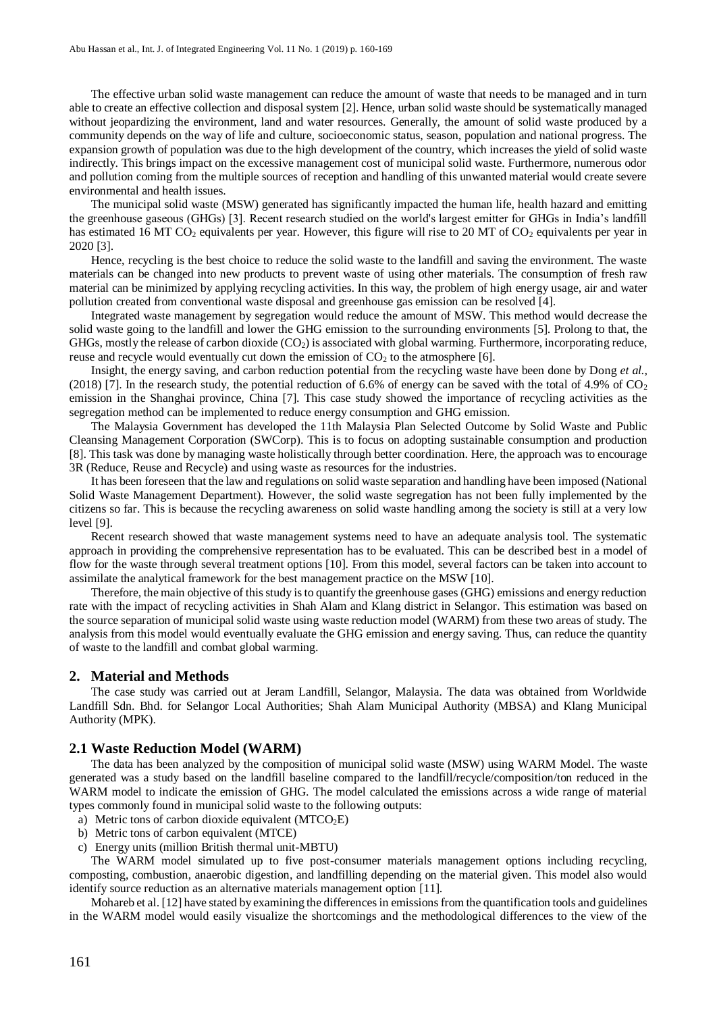The effective urban solid waste management can reduce the amount of waste that needs to be managed and in turn able to create an effective collection and disposal system [2]. Hence, urban solid waste should be systematically managed without jeopardizing the environment, land and water resources. Generally, the amount of solid waste produced by a community depends on the way of life and culture, socioeconomic status, season, population and national progress. The expansion growth of population was due to the high development of the country, which increases the yield of solid waste indirectly. This brings impact on the excessive management cost of municipal solid waste. Furthermore, numerous odor and pollution coming from the multiple sources of reception and handling of this unwanted material would create severe environmental and health issues.

The municipal solid waste (MSW) generated has significantly impacted the human life, health hazard and emitting the greenhouse gaseous (GHGs) [3]. Recent research studied on the world's largest emitter for GHGs in India's landfill has estimated 16 MT  $CO<sub>2</sub>$  equivalents per year. However, this figure will rise to 20 MT of  $CO<sub>2</sub>$  equivalents per year in 2020 [3].

Hence, recycling is the best choice to reduce the solid waste to the landfill and saving the environment. The waste materials can be changed into new products to prevent waste of using other materials. The consumption of fresh raw material can be minimized by applying recycling activities. In this way, the problem of high energy usage, air and water pollution created from conventional waste disposal and greenhouse gas emission can be resolved [4].

Integrated waste management by segregation would reduce the amount of MSW. This method would decrease the solid waste going to the landfill and lower the GHG emission to the surrounding environments [5]. Prolong to that, the GHGs, mostly the release of carbon dioxide  $(CO<sub>2</sub>)$  is associated with global warming. Furthermore, incorporating reduce, reuse and recycle would eventually cut down the emission of  $CO<sub>2</sub>$  to the atmosphere [6].

Insight, the energy saving, and carbon reduction potential from the recycling waste have been done by Dong *et al.,*  (2018) [7]. In the research study, the potential reduction of 6.6% of energy can be saved with the total of 4.9% of  $CO<sub>2</sub>$ emission in the Shanghai province, China [7]. This case study showed the importance of recycling activities as the segregation method can be implemented to reduce energy consumption and GHG emission.

The Malaysia Government has developed the 11th Malaysia Plan Selected Outcome by Solid Waste and Public Cleansing Management Corporation (SWCorp). This is to focus on adopting sustainable consumption and production [8]. This task was done by managing waste holistically through better coordination. Here, the approach was to encourage 3R (Reduce, Reuse and Recycle) and using waste as resources for the industries.

It has been foreseen that the law and regulations on solid waste separation and handling have been imposed (National Solid Waste Management Department). However, the solid waste segregation has not been fully implemented by the citizens so far. This is because the recycling awareness on solid waste handling among the society is still at a very low level [9].

Recent research showed that waste management systems need to have an adequate analysis tool. The systematic approach in providing the comprehensive representation has to be evaluated. This can be described best in a model of flow for the waste through several treatment options [10]. From this model, several factors can be taken into account to assimilate the analytical framework for the best management practice on the MSW [10].

Therefore, the main objective of this study is to quantify the greenhouse gases (GHG) emissions and energy reduction rate with the impact of recycling activities in Shah Alam and Klang district in Selangor. This estimation was based on the source separation of municipal solid waste using waste reduction model (WARM) from these two areas of study. The analysis from this model would eventually evaluate the GHG emission and energy saving. Thus, can reduce the quantity of waste to the landfill and combat global warming.

#### **2. Material and Methods**

The case study was carried out at Jeram Landfill, Selangor, Malaysia. The data was obtained from Worldwide Landfill Sdn. Bhd. for Selangor Local Authorities; Shah Alam Municipal Authority (MBSA) and Klang Municipal Authority (MPK).

#### **2.1 Waste Reduction Model (WARM)**

The data has been analyzed by the composition of municipal solid waste (MSW) using WARM Model. The waste generated was a study based on the landfill baseline compared to the landfill/recycle/composition/ton reduced in the WARM model to indicate the emission of GHG. The model calculated the emissions across a wide range of material types commonly found in municipal solid waste to the following outputs:

- a) Metric tons of carbon dioxide equivalent  $(MTCO<sub>2</sub>E)$
- b) Metric tons of carbon equivalent (MTCE)
- c) Energy units (million British thermal unit-MBTU)

The WARM model simulated up to five post-consumer materials management options including recycling, composting, combustion, anaerobic digestion, and landfilling depending on the material given. This model also would identify source reduction as an alternative materials management option [11].

Mohareb et al. [12] have stated by examining the differences in emissions from the quantification tools and guidelines in the WARM model would easily visualize the shortcomings and the methodological differences to the view of the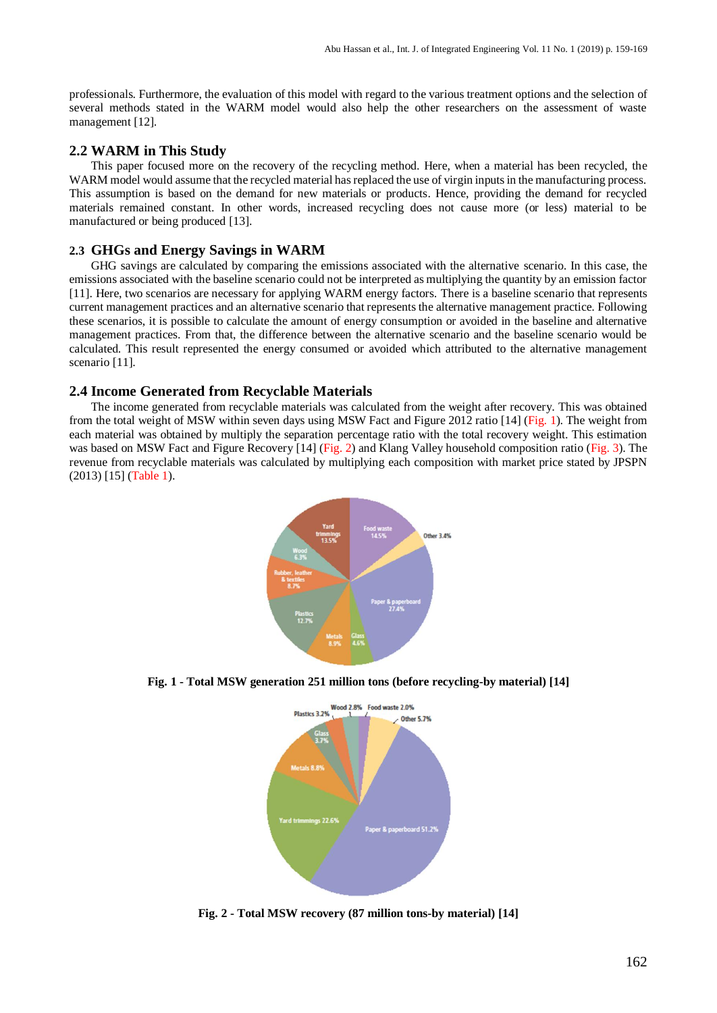professionals. Furthermore, the evaluation of this model with regard to the various treatment options and the selection of several methods stated in the WARM model would also help the other researchers on the assessment of waste management [12].

#### **2.2 WARM in This Study**

This paper focused more on the recovery of the recycling method. Here, when a material has been recycled, the WARM model would assume that the recycled material has replaced the use of virgin inputs in the manufacturing process. This assumption is based on the demand for new materials or products. Hence, providing the demand for recycled materials remained constant. In other words, increased recycling does not cause more (or less) material to be manufactured or being produced [13].

#### **2.3 GHGs and Energy Savings in WARM**

GHG savings are calculated by comparing the emissions associated with the alternative scenario. In this case, the emissions associated with the baseline scenario could not be interpreted as multiplying the quantity by an emission factor [11]. Here, two scenarios are necessary for applying WARM energy factors. There is a baseline scenario that represents current management practices and an alternative scenario that represents the alternative management practice. Following these scenarios, it is possible to calculate the amount of energy consumption or avoided in the baseline and alternative management practices. From that, the difference between the alternative scenario and the baseline scenario would be calculated. This result represented the energy consumed or avoided which attributed to the alternative management scenario [11].

#### **2.4 Income Generated from Recyclable Materials**

The income generated from recyclable materials was calculated from the weight after recovery. This was obtained from the total weight of MSW within seven days using MSW Fact and Figure 2012 ratio [14] (Fig. 1). The weight from each material was obtained by multiply the separation percentage ratio with the total recovery weight. This estimation was based on MSW Fact and Figure Recovery [14] (Fig. 2) and Klang Valley household composition ratio (Fig. 3). The revenue from recyclable materials was calculated by multiplying each composition with market price stated by JPSPN (2013) [15] (Table 1).



**Fig. 1 - Total MSW generation 251 million tons (before recycling-by material) [14]**



**Fig. 2 - Total MSW recovery (87 million tons-by material) [14]**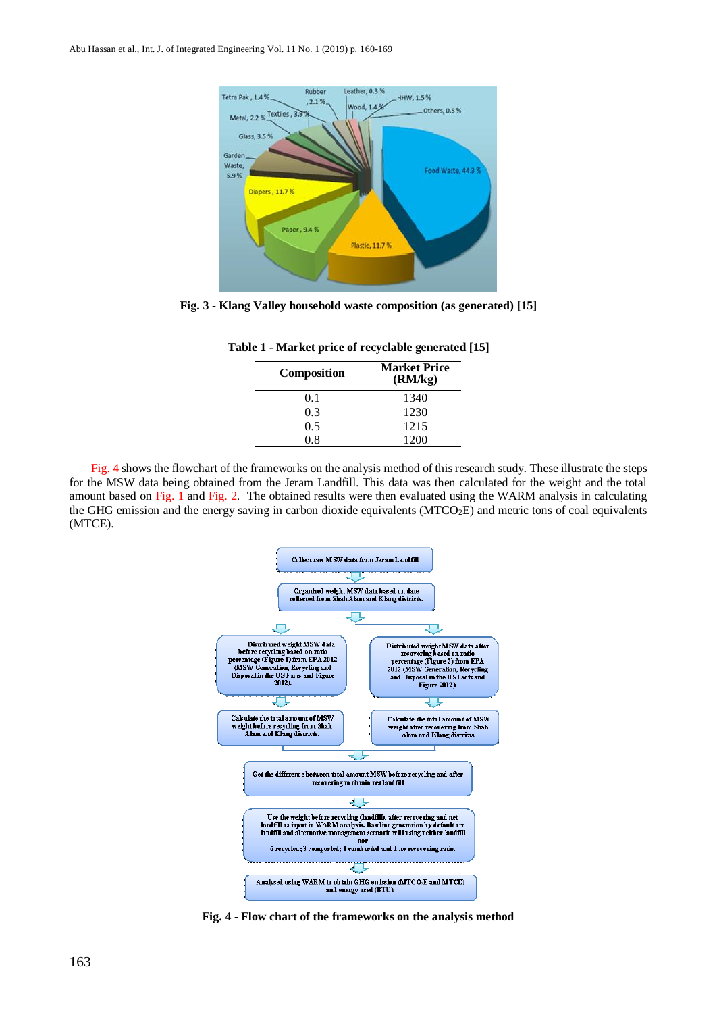

**Fig. 3 - Klang Valley household waste composition (as generated) [15]**

| <b>Market Price</b><br>(RM/kg) |
|--------------------------------|
| 1340                           |
| 1230                           |
| 1215                           |
| 1200                           |
|                                |

**Table 1 - Market price of recyclable generated [15]**

Fig. 4 shows the flowchart of the frameworks on the analysis method of this research study. These illustrate the steps for the MSW data being obtained from the Jeram Landfill. This data was then calculated for the weight and the total amount based on Fig. 1 and Fig. 2. The obtained results were then evaluated using the WARM analysis in calculating the GHG emission and the energy saving in carbon dioxide equivalents (MTCO<sub>2</sub>E) and metric tons of coal equivalents (MTCE).



**Fig. 4 - Flow chart of the frameworks on the analysis method**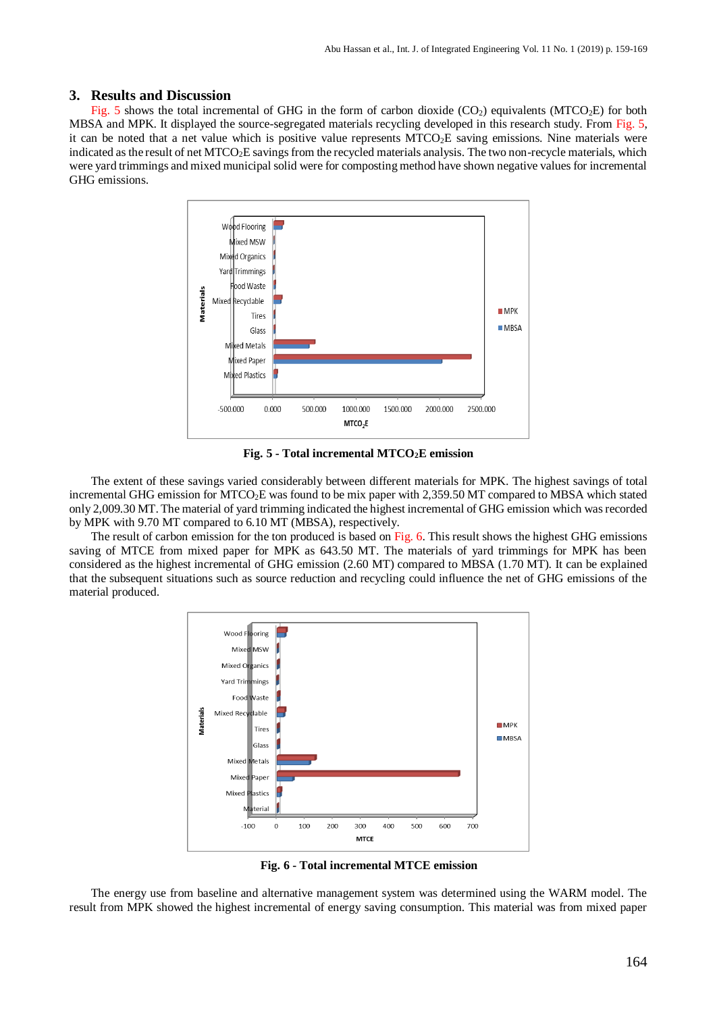#### **3. Results and Discussion**

Fig. 5 shows the total incremental of GHG in the form of carbon dioxide  $(CO<sub>2</sub>)$  equivalents (MTCO<sub>2</sub>E) for both MBSA and MPK. It displayed the source-segregated materials recycling developed in this research study. From Fig. 5, it can be noted that a net value which is positive value represents  $MTCO<sub>2</sub>E$  saving emissions. Nine materials were indicated as the result of net MTCO<sub>2</sub>E savings from the recycled materials analysis. The two non-recycle materials, which were yard trimmings and mixed municipal solid were for composting method have shown negative values for incremental GHG emissions.



**Fig. 5 - Total incremental MTCO2E emission**

The extent of these savings varied considerably between different materials for MPK. The highest savings of total incremental GHG emission for MTCO2E was found to be mix paper with 2,359.50 MT compared to MBSA which stated only 2,009.30 MT. The material of yard trimming indicated the highest incremental of GHG emission which was recorded by MPK with 9.70 MT compared to 6.10 MT (MBSA), respectively.

The result of carbon emission for the ton produced is based on Fig. 6. This result shows the highest GHG emissions saving of MTCE from mixed paper for MPK as 643.50 MT. The materials of vard trimmings for MPK has been considered as the highest incremental of GHG emission (2.60 MT) compared to MBSA (1.70 MT). It can be explained that the subsequent situations such as source reduction and recycling could influence the net of GHG emissions of the material produced.



**Fig. 6 - Total incremental MTCE emission**

The energy use from baseline and alternative management system was determined using the WARM model. The result from MPK showed the highest incremental of energy saving consumption. This material was from mixed paper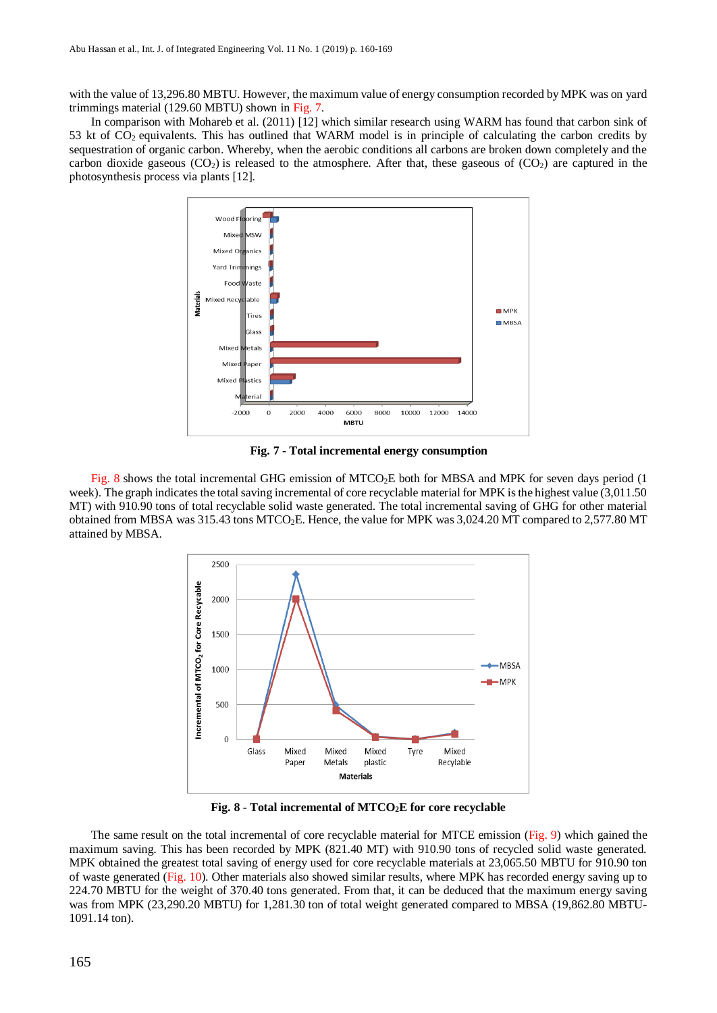with the value of 13,296.80 MBTU. However, the maximum value of energy consumption recorded by MPK was on yard trimmings material (129.60 MBTU) shown in Fig. 7.

In comparison with Mohareb et al. (2011) [12] which similar research using WARM has found that carbon sink of 53 kt of  $CO<sub>2</sub>$  equivalents. This has outlined that WARM model is in principle of calculating the carbon credits by sequestration of organic carbon. Whereby, when the aerobic conditions all carbons are broken down completely and the carbon dioxide gaseous  $(CO_2)$  is released to the atmosphere. After that, these gaseous of  $(CO_2)$  are captured in the photosynthesis process via plants [12].



**Fig. 7 - Total incremental energy consumption**

Fig. 8 shows the total incremental GHG emission of MTCO<sub>2</sub>E both for MBSA and MPK for seven days period (1) week). The graph indicates the total saving incremental of core recyclable material for MPK is the highest value (3,011.50 MT) with 910.90 tons of total recyclable solid waste generated. The total incremental saving of GHG for other material obtained from MBSA was 315.43 tons MTCO2E. Hence, the value for MPK was 3,024.20 MT compared to 2,577.80 MT attained by MBSA.



**Fig. 8 - Total incremental of MTCO2E for core recyclable**

The same result on the total incremental of core recyclable material for MTCE emission (Fig. 9) which gained the maximum saving. This has been recorded by MPK (821.40 MT) with 910.90 tons of recycled solid waste generated. MPK obtained the greatest total saving of energy used for core recyclable materials at 23,065.50 MBTU for 910.90 ton of waste generated (Fig. 10). Other materials also showed similar results, where MPK has recorded energy saving up to 224.70 MBTU for the weight of 370.40 tons generated. From that, it can be deduced that the maximum energy saving was from MPK (23,290.20 MBTU) for 1,281.30 ton of total weight generated compared to MBSA (19,862.80 MBTU-1091.14 ton).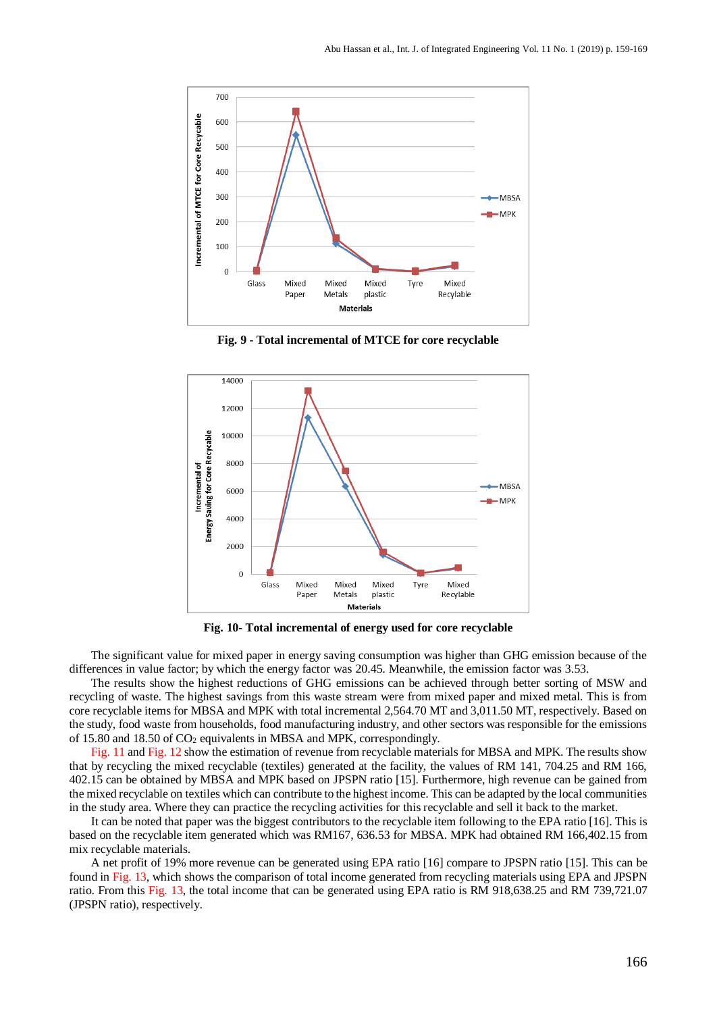

**Fig. 9 - Total incremental of MTCE for core recyclable**



**Fig. 10- Total incremental of energy used for core recyclable**

The significant value for mixed paper in energy saving consumption was higher than GHG emission because of the differences in value factor; by which the energy factor was 20.45. Meanwhile, the emission factor was 3.53.

The results show the highest reductions of GHG emissions can be achieved through better sorting of MSW and recycling of waste. The highest savings from this waste stream were from mixed paper and mixed metal. This is from core recyclable items for MBSA and MPK with total incremental 2,564.70 MT and 3,011.50 MT, respectively. Based on the study, food waste from households, food manufacturing industry, and other sectors was responsible for the emissions of 15.80 and 18.50 of  $CO<sub>2</sub>$  equivalents in MBSA and MPK, correspondingly.

Fig. 11 and Fig. 12 show the estimation of revenue from recyclable materials for MBSA and MPK. The results show that by recycling the mixed recyclable (textiles) generated at the facility, the values of RM 141, 704.25 and RM 166, 402.15 can be obtained by MBSA and MPK based on JPSPN ratio [15]. Furthermore, high revenue can be gained from the mixed recyclable on textiles which can contribute to the highest income. This can be adapted by the local communities in the study area. Where they can practice the recycling activities for this recyclable and sell it back to the market.

It can be noted that paper was the biggest contributors to the recyclable item following to the EPA ratio [16]. This is based on the recyclable item generated which was RM167, 636.53 for MBSA. MPK had obtained RM 166,402.15 from mix recyclable materials.

A net profit of 19% more revenue can be generated using EPA ratio [16] compare to JPSPN ratio [15]. This can be found in Fig. 13, which shows the comparison of total income generated from recycling materials using EPA and JPSPN ratio. From this Fig. 13, the total income that can be generated using EPA ratio is RM 918,638.25 and RM 739,721.07 (JPSPN ratio), respectively.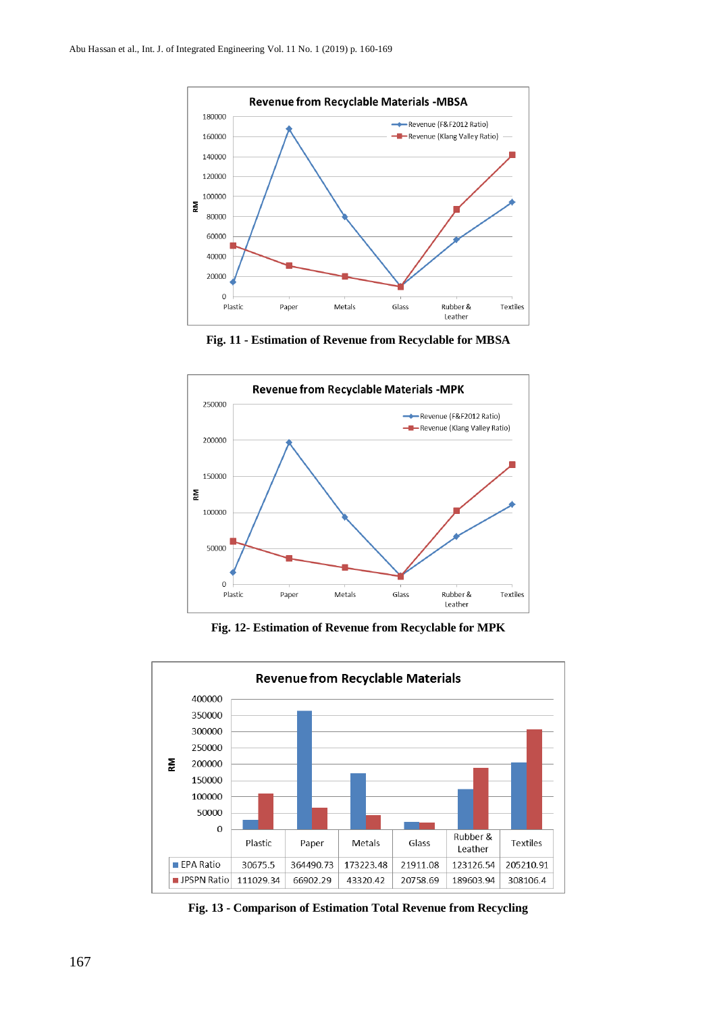

**Fig. 11 - Estimation of Revenue from Recyclable for MBSA**



**Fig. 12- Estimation of Revenue from Recyclable for MPK**



**Fig. 13 - Comparison of Estimation Total Revenue from Recycling**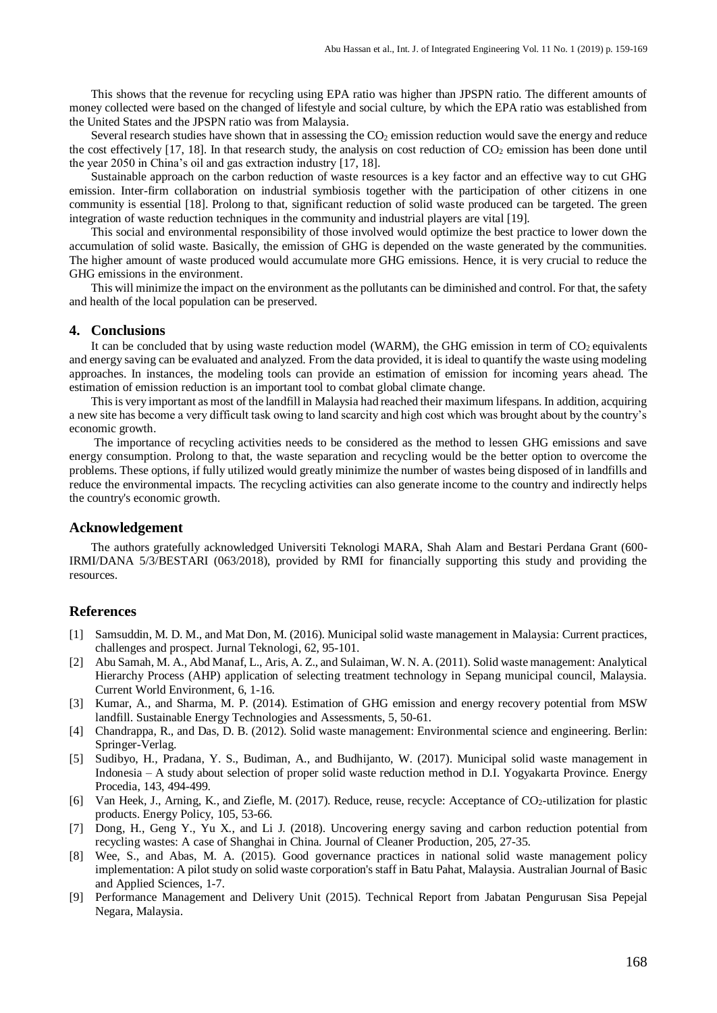This shows that the revenue for recycling using EPA ratio was higher than JPSPN ratio. The different amounts of money collected were based on the changed of lifestyle and social culture, by which the EPA ratio was established from the United States and the JPSPN ratio was from Malaysia.

Several research studies have shown that in assessing the  $CO<sub>2</sub>$  emission reduction would save the energy and reduce the cost effectively  $[17, 18]$ . In that research study, the analysis on cost reduction of  $CO<sub>2</sub>$  emission has been done until the year 2050 in China's oil and gas extraction industry [17, 18].

Sustainable approach on the carbon reduction of waste resources is a key factor and an effective way to cut GHG emission. Inter-firm collaboration on industrial symbiosis together with the participation of other citizens in one community is essential [18]. Prolong to that, significant reduction of solid waste produced can be targeted. The green integration of waste reduction techniques in the community and industrial players are vital [19].

This social and environmental responsibility of those involved would optimize the best practice to lower down the accumulation of solid waste. Basically, the emission of GHG is depended on the waste generated by the communities. The higher amount of waste produced would accumulate more GHG emissions. Hence, it is very crucial to reduce the GHG emissions in the environment.

This will minimize the impact on the environment as the pollutants can be diminished and control. For that, the safety and health of the local population can be preserved.

#### **4. Conclusions**

It can be concluded that by using waste reduction model (WARM), the GHG emission in term of  $CO<sub>2</sub>$  equivalents and energy saving can be evaluated and analyzed. From the data provided, it is ideal to quantify the waste using modeling approaches. In instances, the modeling tools can provide an estimation of emission for incoming years ahead. The estimation of emission reduction is an important tool to combat global climate change.

This is very important as most of the landfill in Malaysia had reached their maximum lifespans. In addition, acquiring a new site has become a very difficult task owing to land scarcity and high cost which was brought about by the country's economic growth.

The importance of recycling activities needs to be considered as the method to lessen GHG emissions and save energy consumption. Prolong to that, the waste separation and recycling would be the better option to overcome the problems. These options, if fully utilized would greatly minimize the number of wastes being disposed of in landfills and reduce the environmental impacts. The recycling activities can also generate income to the country and indirectly helps the country's economic growth.

#### **Acknowledgement**

The authors gratefully acknowledged Universiti Teknologi MARA, Shah Alam and Bestari Perdana Grant (600- IRMI/DANA 5/3/BESTARI (063/2018), provided by RMI for financially supporting this study and providing the resources.

#### **References**

- [1] Samsuddin, M. D. M., and Mat Don, M. (2016). Municipal solid waste management in Malaysia: Current practices, challenges and prospect. Jurnal Teknologi, 62, 95-101.
- [2] Abu Samah, M. A., Abd Manaf, L., Aris, A. Z., and Sulaiman, W. N. A. (2011). Solid waste management: Analytical Hierarchy Process (AHP) application of selecting treatment technology in Sepang municipal council, Malaysia. Current World Environment, 6, 1-16.
- [3] Kumar, A., and Sharma, M. P. (2014). Estimation of GHG emission and energy recovery potential from MSW landfill. Sustainable Energy Technologies and Assessments, 5, 50-61.
- [4] Chandrappa, R., and Das, D. B. (2012). Solid waste management: Environmental science and engineering. Berlin: Springer-Verlag.
- [5] Sudibyo, H., Pradana, Y. S., Budiman, A., and Budhijanto, W. (2017). Municipal solid waste management in Indonesia – A study about selection of proper solid waste reduction method in D.I. Yogyakarta Province. Energy Procedia, 143, 494-499.
- [6] Van Heek, J., Arning, K., and Ziefle, M. (2017). Reduce, reuse, recycle: Acceptance of CO<sub>2</sub>-utilization for plastic products. Energy Policy, 105, 53-66.
- [7] Dong, H., Geng Y., Yu X., and Li J. (2018). Uncovering energy saving and carbon reduction potential from recycling wastes: A case of Shanghai in China. Journal of Cleaner Production, 205, 27-35.
- [8] Wee, S., and Abas, M. A. (2015). Good governance practices in national solid waste management policy implementation: A pilot study on solid waste corporation's staff in Batu Pahat, Malaysia. Australian Journal of Basic and Applied Sciences, 1-7.
- [9] Performance Management and Delivery Unit (2015). Technical Report from Jabatan Pengurusan Sisa Pepejal Negara, Malaysia.